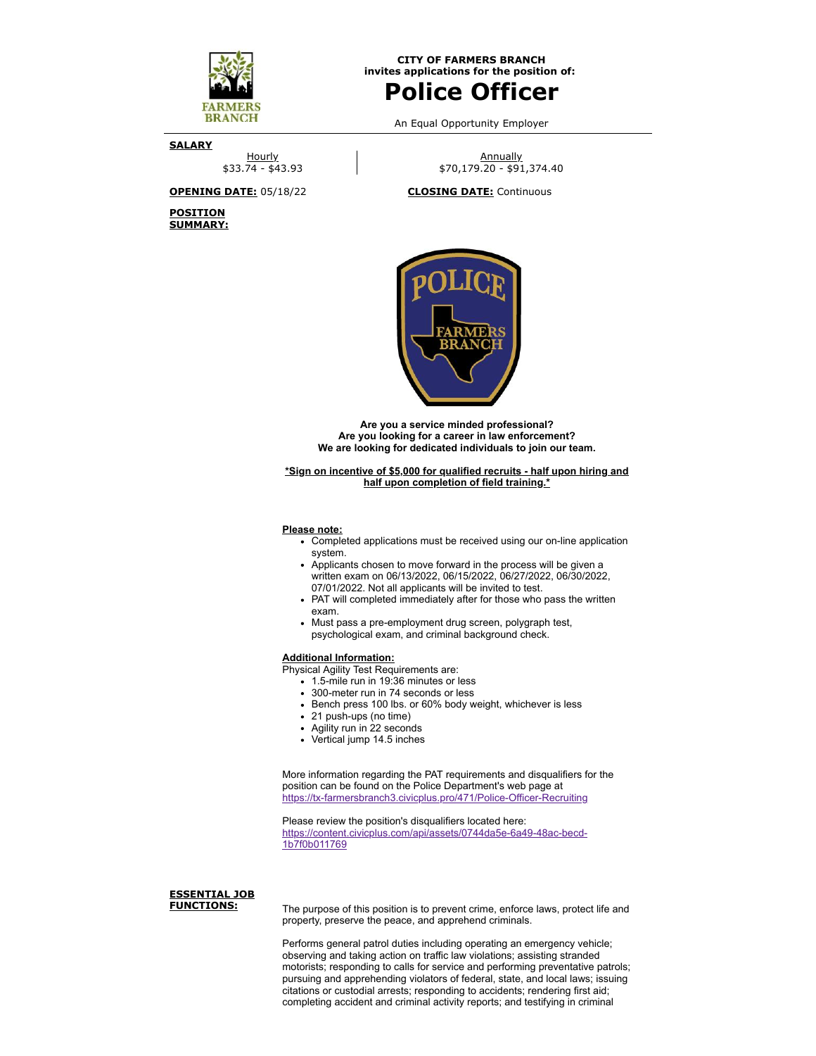

**CITY OF FARMERS BRANCH invites applications for the position of:**

# **Police Officer**

An Equal Opportunity Employer

**SALARY**

Hourly \$33.74 - \$43.93

**POSITION SUMMARY:**

**Annually** \$70,179.20 - \$91,374.40

**OPENING DATE:** 05/18/22 **CLOSING DATE:** Continuous



**Are you a service minded professional? Are you looking for a career in law enforcement? We are looking for dedicated individuals to join our team.**

**\*Sign on incentive of \$5,000 for qualified recruits - half upon hiring and half upon completion of field training.\***

#### **Please note:**

- Completed applications must be received using our on-line application system.
- Applicants chosen to move forward in the process will be given a written exam on 06/13/2022, 06/15/2022, 06/27/2022, 06/30/2022, 07/01/2022. Not all applicants will be invited to test.
- PAT will completed immediately after for those who pass the written exam.
- Must pass a pre-employment drug screen, polygraph test, psychological exam, and criminal background check.

### **Additional Information:**

- Physical Agility Test Requirements are:
	- 1.5-mile run in 19:36 minutes or less
	- 300-meter run in 74 seconds or less
	- Bench press 100 lbs. or 60% body weight, whichever is less
	- 21 push-ups (no time)
	- Agility run in 22 seconds
	- Vertical jump 14.5 inches

More information regarding the PAT requirements and disqualifiers for the position can be found on the Police Department's web page at <https://tx-farmersbranch3.civicplus.pro/471/Police-Officer-Recruiting>

Please review the position's disqualifiers located here: [https://content.civicplus.com/api/assets/0744da5e-6a49-48ac-becd-](https://content.civicplus.com/api/assets/0744da5e-6a49-48ac-becd-1b7f0b011769)1b7f0b011769

## **ESSENTIAL JOB**

The purpose of this position is to prevent crime, enforce laws, protect life and property, preserve the peace, and apprehend criminals.

Performs general patrol duties including operating an emergency vehicle; observing and taking action on traffic law violations; assisting stranded motorists; responding to calls for service and performing preventative patrols; pursuing and apprehending violators of federal, state, and local laws; issuing citations or custodial arrests; responding to accidents; rendering first aid; completing accident and criminal activity reports; and testifying in criminal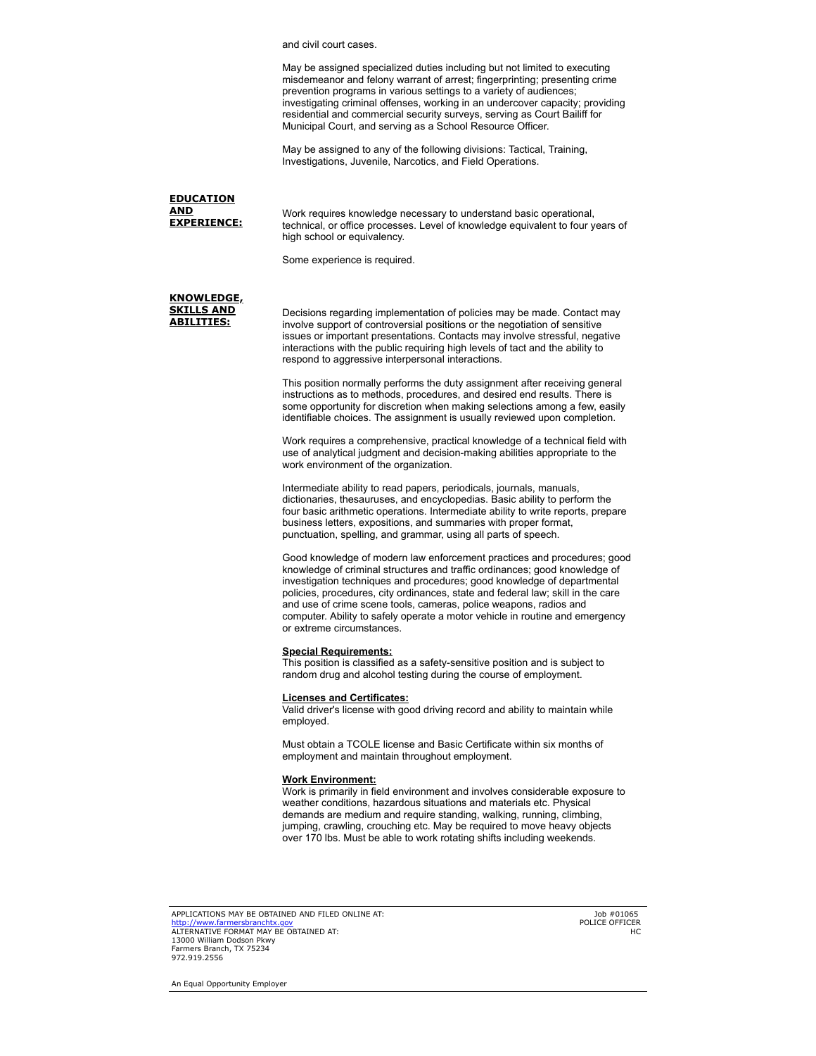and civil court cases.

May be assigned specialized duties including but not limited to executing misdemeanor and felony warrant of arrest; fingerprinting; presenting crime prevention programs in various settings to a variety of audiences; investigating criminal offenses, working in an undercover capacity; providing residential and commercial security surveys, serving as Court Bailiff for Municipal Court, and serving as a School Resource Officer.

May be assigned to any of the following divisions: Tactical, Training, Investigations, Juvenile, Narcotics, and Field Operations.

#### **EDUCATION AND**<br>EXPERIENCE: Work requires knowledge necessary to understand basic operational, technical, or office processes. Level of knowledge equivalent to four years of high school or equivalency.

Some experience is required.

#### **KNOWLEDGE, SKILLS AND ABILITIES:**

Decisions regarding implementation of policies may be made. Contact may involve support of controversial positions or the negotiation of sensitive issues or important presentations. Contacts may involve stressful, negative interactions with the public requiring high levels of tact and the ability to respond to aggressive interpersonal interactions.

This position normally performs the duty assignment after receiving general instructions as to methods, procedures, and desired end results. There is some opportunity for discretion when making selections among a few, easily identifiable choices. The assignment is usually reviewed upon completion.

Work requires a comprehensive, practical knowledge of a technical field with use of analytical judgment and decision-making abilities appropriate to the work environment of the organization.

Intermediate ability to read papers, periodicals, journals, manuals, dictionaries, thesauruses, and encyclopedias. Basic ability to perform the four basic arithmetic operations. Intermediate ability to write reports, prepare business letters, expositions, and summaries with proper format, punctuation, spelling, and grammar, using all parts of speech.

Good knowledge of modern law enforcement practices and procedures; good knowledge of criminal structures and traffic ordinances; good knowledge of investigation techniques and procedures; good knowledge of departmental policies, procedures, city ordinances, state and federal law; skill in the care and use of crime scene tools, cameras, police weapons, radios and computer. Ability to safely operate a motor vehicle in routine and emergency or extreme circumstances.

#### **Special Requirements:**

This position is classified as a safety-sensitive position and is subject to random drug and alcohol testing during the course of employment.

#### **Licenses and Certificates:**

Valid driver's license with good driving record and ability to maintain while employed.

Must obtain a TCOLE license and Basic Certificate within six months of employment and maintain throughout employment.

#### **Work Environment:**

Work is primarily in field environment and involves considerable exposure to weather conditions, hazardous situations and materials etc. Physical demands are medium and require standing, walking, running, climbing, jumping, crawling, crouching etc. May be required to move heavy objects over 170 lbs. Must be able to work rotating shifts including weekends.

APPLICATIONS MAY BE OBTAINED AND FILED ONLINE AT: <mark>[http://www.farmersbranchtx.gov](http://www.farmersbranchtx.gov/)</mark><br>ALTERNATIVE FORMAT MAY BE OBTAINED AT: 13000 William Dodson Pkwy Farmers Branch, TX 75234 972.919.2556

Job #01065 POLICE OFFICER HC

An Equal Opportunity Employer